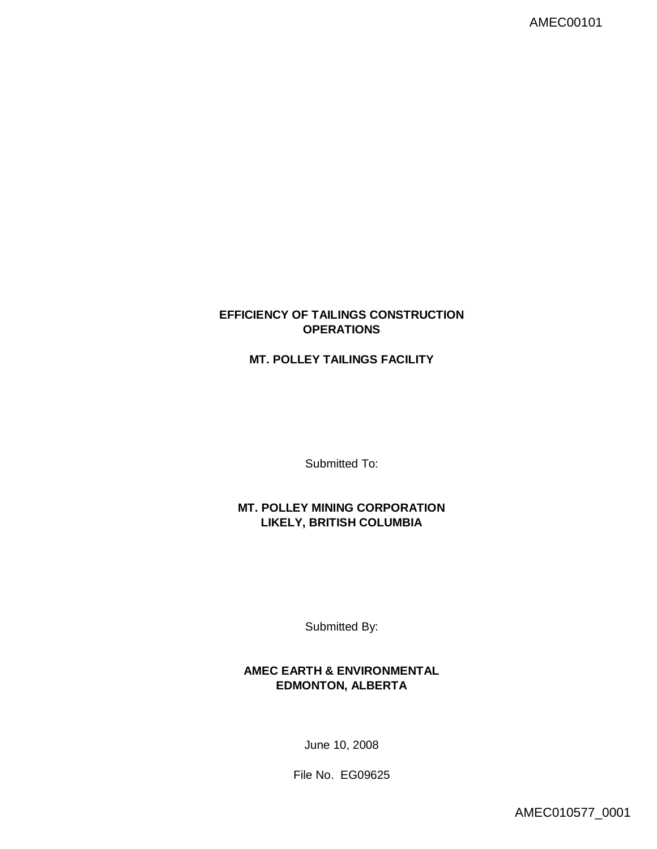# **EFFICIENCY OF TAILINGS CONSTRUCTION OPERATIONS**

# **MT. POLLEY TAILINGS FACILITY**

Submitted To:

**MT. POLLEY MINING CORPORATION LIKELY, BRITISH COLUMBIA**

Submitted By:

**AMEC EARTH & ENVIRONMENTAL EDMONTON, ALBERTA**

June 10, 2008

File No. EG09625

AMEC010577\_0001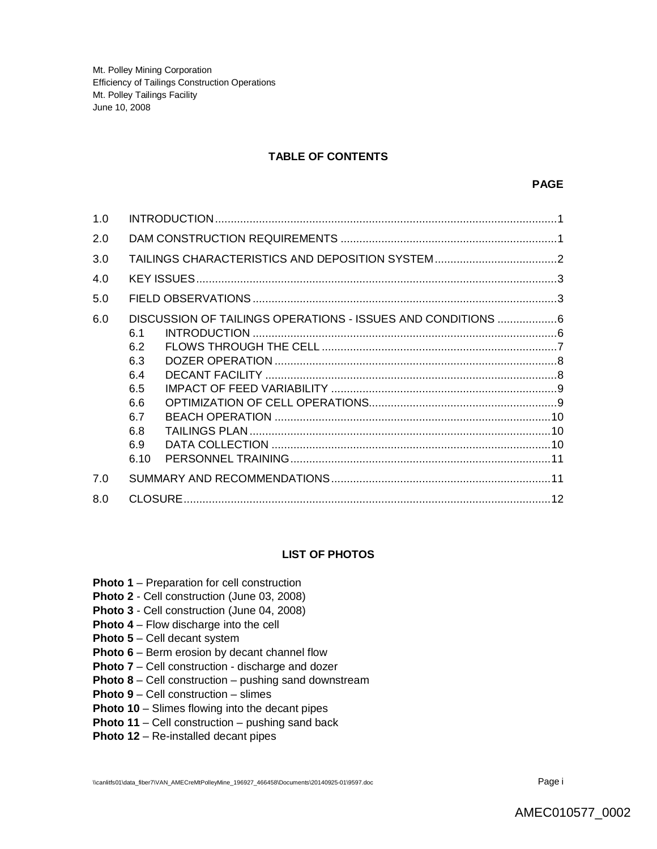## **TABLE OF CONTENTS**

| 1.0 |                                                                                                                                    |
|-----|------------------------------------------------------------------------------------------------------------------------------------|
| 2.0 |                                                                                                                                    |
| 3.0 |                                                                                                                                    |
| 4.0 |                                                                                                                                    |
| 5.0 |                                                                                                                                    |
| 6.0 | DISCUSSION OF TAILINGS OPERATIONS - ISSUES AND CONDITIONS 6<br>6.1<br>6.2<br>6.3<br>6.4<br>6.5<br>6.6<br>6.7<br>6.8<br>6.9<br>6.10 |
| 7.0 |                                                                                                                                    |
| 8.0 |                                                                                                                                    |

#### **LIST OF PHOTOS**

- **Photo 1** Preparation for cell construction
- **Photo 2**  Cell construction (June 03, 2008)
- **Photo 3** Cell construction (June 04, 2008)
- **Photo 4** Flow discharge into the cell
- **Photo 5** Cell decant system
- **Photo 6** Berm erosion by decant channel flow
- **Photo 7** Cell construction discharge and dozer
- **Photo 8** Cell construction pushing sand downstream
- **Photo 9** Cell construction slimes
- **Photo 10** Slimes flowing into the decant pipes
- **Photo 11** Cell construction pushing sand back
- **Photo 12** Re-installed decant pipes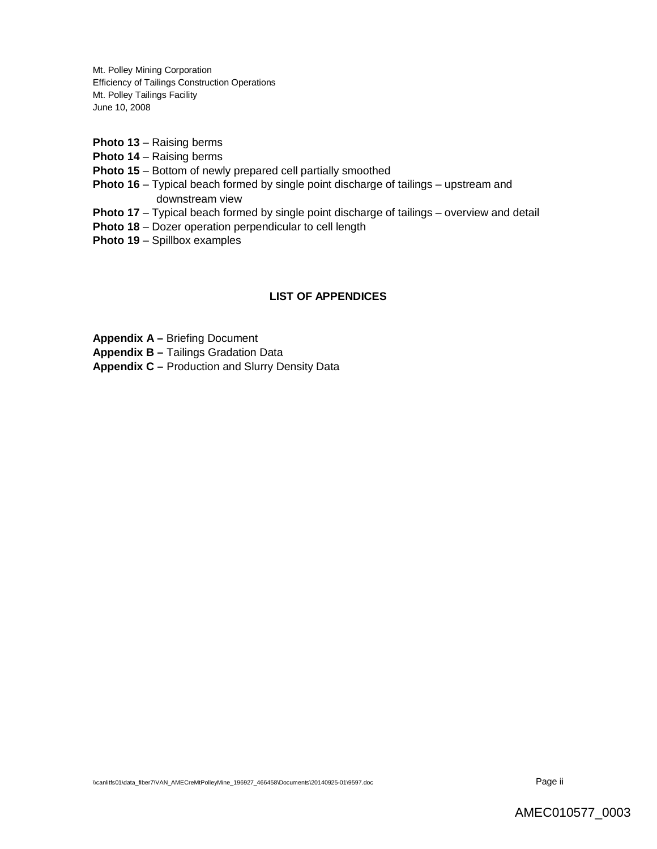- **Photo 13** Raising berms
- **Photo 14** Raising berms
- **Photo 15** Bottom of newly prepared cell partially smoothed
- **Photo 16** Typical beach formed by single point discharge of tailings upstream and downstream view
- **Photo 17** Typical beach formed by single point discharge of tailings overview and detail
- **Photo 18** Dozer operation perpendicular to cell length
- **Photo 19** Spillbox examples

# **LIST OF APPENDICES**

**Appendix A –** Briefing Document

**Appendix B –** Tailings Gradation Data

**Appendix C –** Production and Slurry Density Data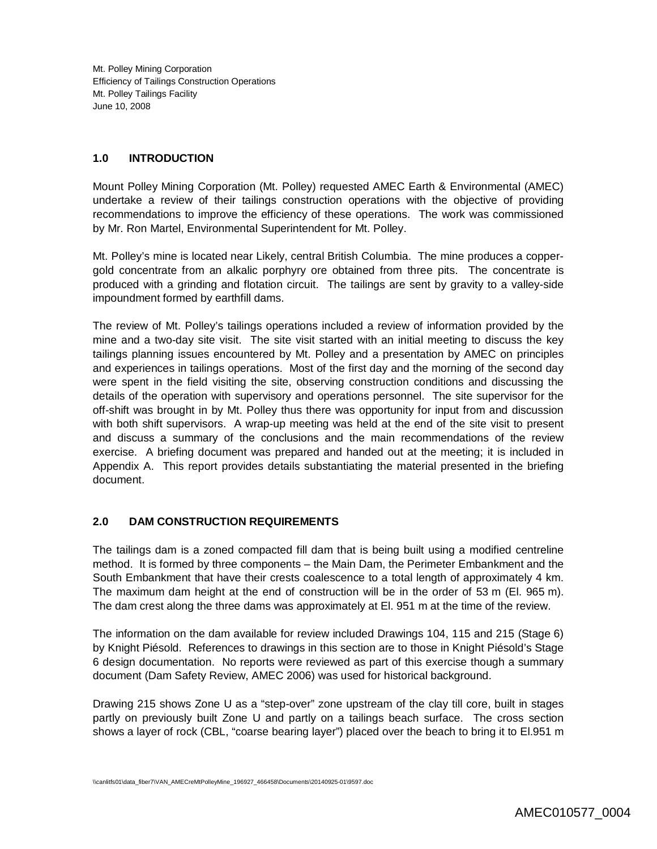## **1.0 INTRODUCTION**

Mount Polley Mining Corporation (Mt. Polley) requested AMEC Earth & Environmental (AMEC) undertake a review of their tailings construction operations with the objective of providing recommendations to improve the efficiency of these operations. The work was commissioned by Mr. Ron Martel, Environmental Superintendent for Mt. Polley.

Mt. Polley's mine is located near Likely, central British Columbia. The mine produces a coppergold concentrate from an alkalic porphyry ore obtained from three pits. The concentrate is produced with a grinding and flotation circuit. The tailings are sent by gravity to a valley-side impoundment formed by earthfill dams.

The review of Mt. Polley's tailings operations included a review of information provided by the mine and a two-day site visit. The site visit started with an initial meeting to discuss the key tailings planning issues encountered by Mt. Polley and a presentation by AMEC on principles and experiences in tailings operations. Most of the first day and the morning of the second day were spent in the field visiting the site, observing construction conditions and discussing the details of the operation with supervisory and operations personnel. The site supervisor for the off-shift was brought in by Mt. Polley thus there was opportunity for input from and discussion with both shift supervisors. A wrap-up meeting was held at the end of the site visit to present and discuss a summary of the conclusions and the main recommendations of the review exercise. A briefing document was prepared and handed out at the meeting; it is included in Appendix A. This report provides details substantiating the material presented in the briefing document.

# **2.0 DAM CONSTRUCTION REQUIREMENTS**

The tailings dam is a zoned compacted fill dam that is being built using a modified centreline method. It is formed by three components – the Main Dam, the Perimeter Embankment and the South Embankment that have their crests coalescence to a total length of approximately 4 km. The maximum dam height at the end of construction will be in the order of 53 m (El. 965 m). The dam crest along the three dams was approximately at El. 951 m at the time of the review.

The information on the dam available for review included Drawings 104, 115 and 215 (Stage 6) by Knight Piésold. References to drawings in this section are to those in Knight Piésold's Stage 6 design documentation. No reports were reviewed as part of this exercise though a summary document (Dam Safety Review, AMEC 2006) was used for historical background.

Drawing 215 shows Zone U as a "step-over" zone upstream of the clay till core, built in stages partly on previously built Zone U and partly on a tailings beach surface. The cross section shows a layer of rock (CBL, "coarse bearing layer") placed over the beach to bring it to El.951 m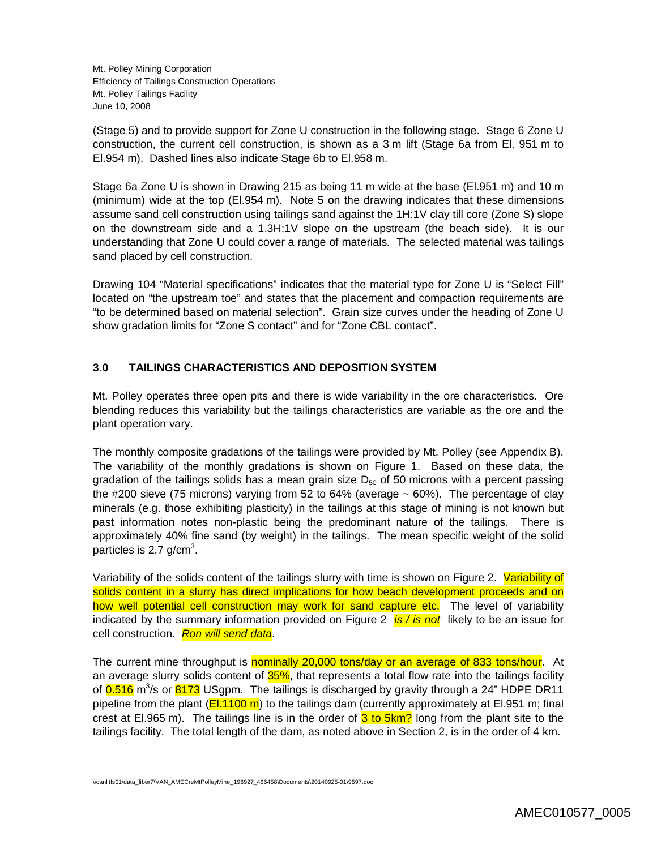(Stage 5) and to provide support for Zone U construction in the following stage. Stage 6 Zone U construction, the current cell construction, is shown as a 3 m lift (Stage 6a from El. 951 m to El.954 m). Dashed lines also indicate Stage 6b to El.958 m.

Stage 6a Zone U is shown in Drawing 215 as being 11 m wide at the base (El.951 m) and 10 m (minimum) wide at the top (El.954 m). Note 5 on the drawing indicates that these dimensions assume sand cell construction using tailings sand against the 1H:1V clay till core (Zone S) slope on the downstream side and a 1.3H:1V slope on the upstream (the beach side). It is our understanding that Zone U could cover a range of materials. The selected material was tailings sand placed by cell construction.

Drawing 104 "Material specifications" indicates that the material type for Zone U is "Select Fill" located on "the upstream toe" and states that the placement and compaction requirements are "to be determined based on material selection". Grain size curves under the heading of Zone U show gradation limits for "Zone S contact" and for "Zone CBL contact".

# **3.0 TAILINGS CHARACTERISTICS AND DEPOSITION SYSTEM**

Mt. Polley operates three open pits and there is wide variability in the ore characteristics. Ore blending reduces this variability but the tailings characteristics are variable as the ore and the plant operation vary.

The monthly composite gradations of the tailings were provided by Mt. Polley (see Appendix B). The variability of the monthly gradations is shown on Figure 1. Based on these data, the gradation of the tailings solids has a mean grain size  $D_{50}$  of 50 microns with a percent passing the #200 sieve (75 microns) varying from 52 to 64% (average  $\sim$  60%). The percentage of clay minerals (e.g. those exhibiting plasticity) in the tailings at this stage of mining is not known but past information notes non-plastic being the predominant nature of the tailings. There is approximately 40% fine sand (by weight) in the tailings. The mean specific weight of the solid particles is 2.7 g/cm<sup>3</sup>.

Variability of the solids content of the tailings slurry with time is shown on Figure 2. Variability of solids content in a slurry has direct implications for how beach development proceeds and on how well potential cell construction may work for sand capture etc. The level of variability indicated by the summary information provided on Figure 2 *is / is not* likely to be an issue for cell construction. *Ron will send data*.

The current mine throughput is nominally 20,000 tons/day or an average of 833 tons/hour. At an average slurry solids content of 35%, that represents a total flow rate into the tailings facility of 0.516 m<sup>3</sup>/s or 8173 USgpm. The tailings is discharged by gravity through a 24" HDPE DR11 pipeline from the plant ( $E1.1100 \text{ m}$ ) to the tailings dam (currently approximately at El.951 m; final crest at El.965 m). The tailings line is in the order of  $3$  to  $5km$ ? long from the plant site to the tailings facility. The total length of the dam, as noted above in Section 2, is in the order of 4 km.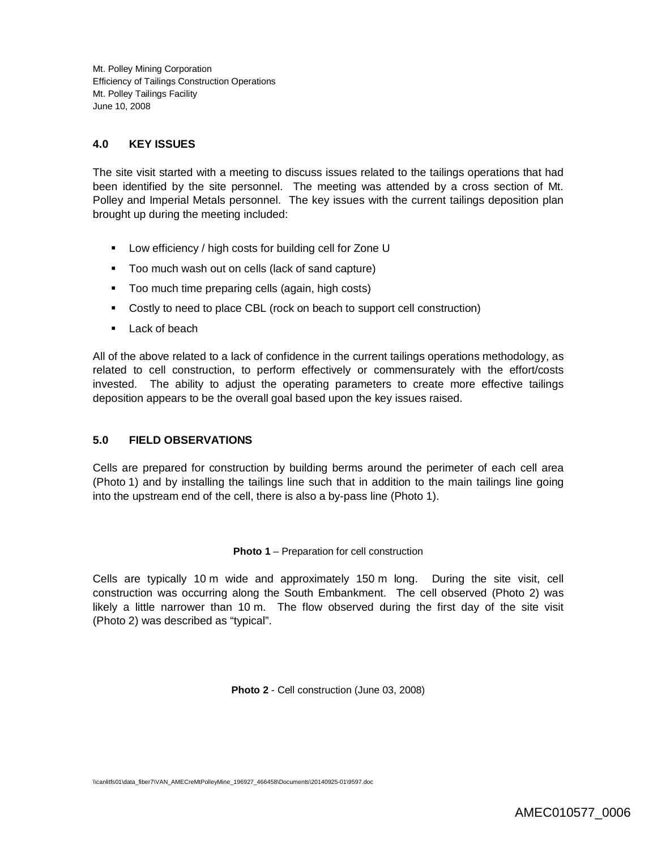# **4.0 KEY ISSUES**

The site visit started with a meeting to discuss issues related to the tailings operations that had been identified by the site personnel. The meeting was attended by a cross section of Mt. Polley and Imperial Metals personnel. The key issues with the current tailings deposition plan brought up during the meeting included:

- **Low efficiency / high costs for building cell for Zone U**
- Too much wash out on cells (lack of sand capture)
- **Too much time preparing cells (again, high costs)**
- Costly to need to place CBL (rock on beach to support cell construction)
- **Lack of beach**

All of the above related to a lack of confidence in the current tailings operations methodology, as related to cell construction, to perform effectively or commensurately with the effort/costs invested. The ability to adjust the operating parameters to create more effective tailings deposition appears to be the overall goal based upon the key issues raised.

## **5.0 FIELD OBSERVATIONS**

Cells are prepared for construction by building berms around the perimeter of each cell area (Photo 1) and by installing the tailings line such that in addition to the main tailings line going into the upstream end of the cell, there is also a by-pass line (Photo 1).

#### **Photo 1** – Preparation for cell construction

Cells are typically 10 m wide and approximately 150 m long. During the site visit, cell construction was occurring along the South Embankment. The cell observed (Photo 2) was likely a little narrower than 10 m. The flow observed during the first day of the site visit (Photo 2) was described as "typical".

**Photo 2** - Cell construction (June 03, 2008)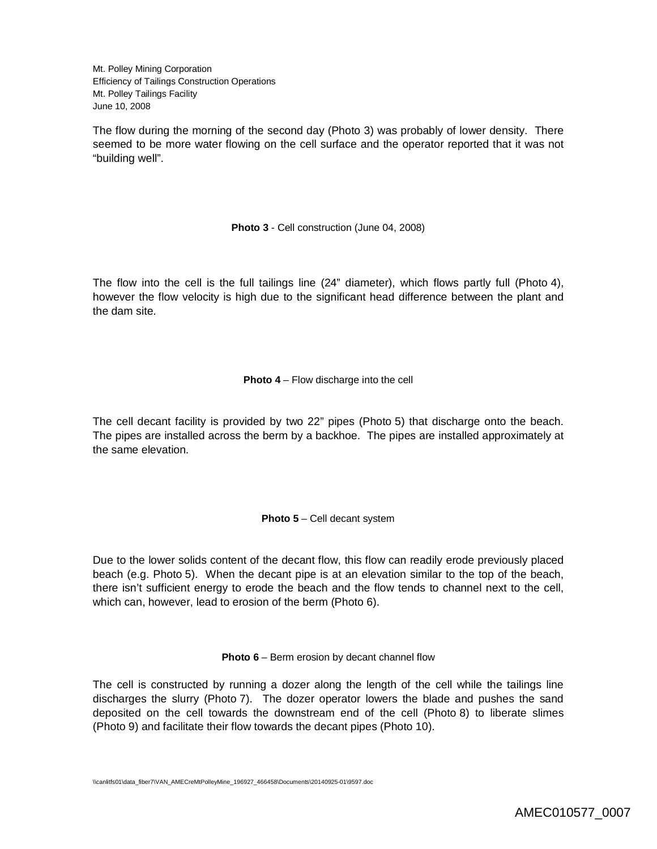The flow during the morning of the second day (Photo 3) was probably of lower density. There seemed to be more water flowing on the cell surface and the operator reported that it was not "building well".

**Photo 3** - Cell construction (June 04, 2008)

The flow into the cell is the full tailings line (24" diameter), which flows partly full (Photo 4), however the flow velocity is high due to the significant head difference between the plant and the dam site.

**Photo 4** – Flow discharge into the cell

The cell decant facility is provided by two 22" pipes (Photo 5) that discharge onto the beach. The pipes are installed across the berm by a backhoe. The pipes are installed approximately at the same elevation.

**Photo 5** – Cell decant system

Due to the lower solids content of the decant flow, this flow can readily erode previously placed beach (e.g. Photo 5). When the decant pipe is at an elevation similar to the top of the beach, there isn't sufficient energy to erode the beach and the flow tends to channel next to the cell, which can, however, lead to erosion of the berm (Photo 6).

**Photo 6** – Berm erosion by decant channel flow

The cell is constructed by running a dozer along the length of the cell while the tailings line discharges the slurry (Photo 7). The dozer operator lowers the blade and pushes the sand deposited on the cell towards the downstream end of the cell (Photo 8) to liberate slimes (Photo 9) and facilitate their flow towards the decant pipes (Photo 10).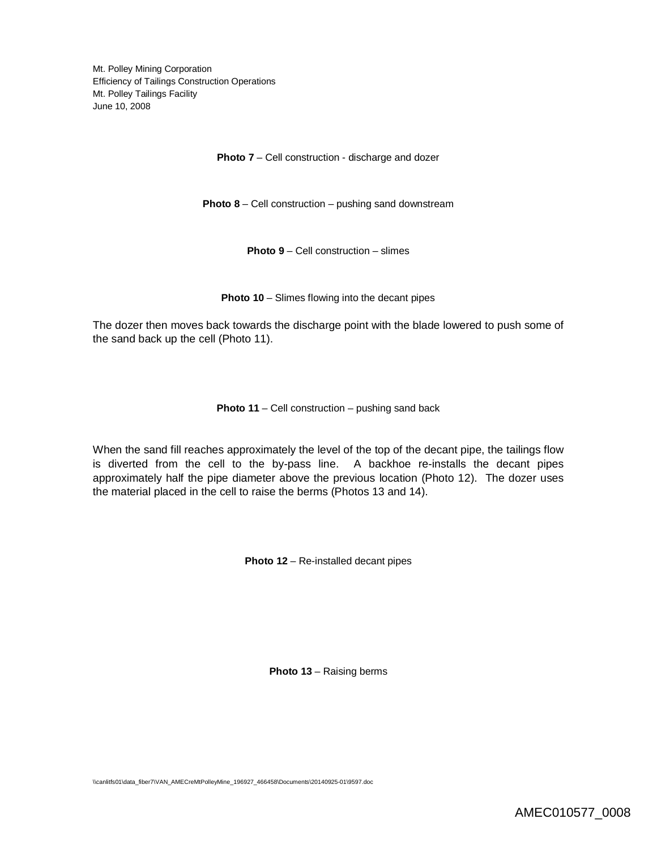**Photo 7** – Cell construction - discharge and dozer

**Photo 8** – Cell construction – pushing sand downstream

**Photo 9** – Cell construction – slimes

**Photo 10** – Slimes flowing into the decant pipes

The dozer then moves back towards the discharge point with the blade lowered to push some of the sand back up the cell (Photo 11).

**Photo 11** – Cell construction – pushing sand back

When the sand fill reaches approximately the level of the top of the decant pipe, the tailings flow is diverted from the cell to the by-pass line. A backhoe re-installs the decant pipes approximately half the pipe diameter above the previous location (Photo 12). The dozer uses the material placed in the cell to raise the berms (Photos 13 and 14).

**Photo 12** – Re-installed decant pipes

**Photo 13** – Raising berms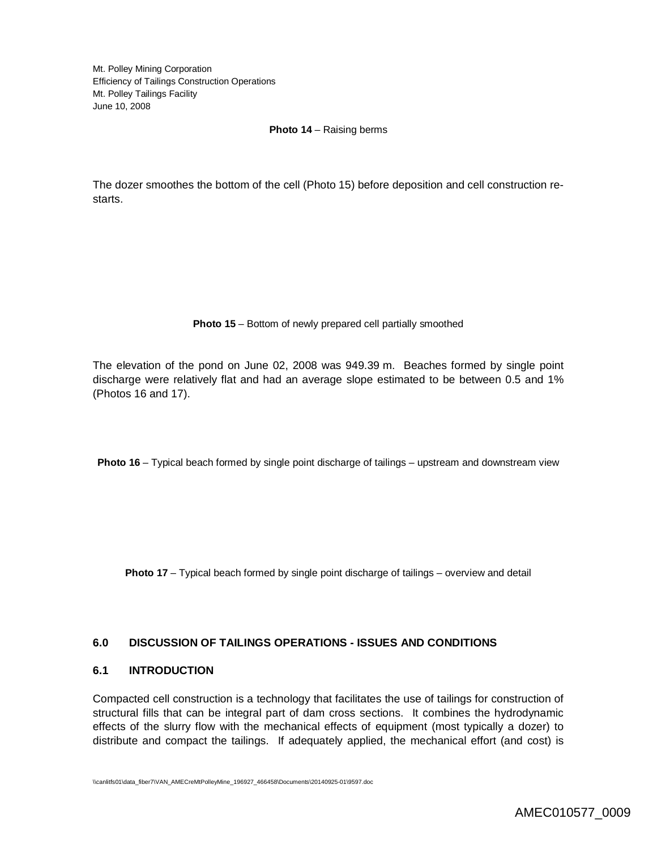#### **Photo 14** – Raising berms

The dozer smoothes the bottom of the cell (Photo 15) before deposition and cell construction restarts.

#### **Photo 15** – Bottom of newly prepared cell partially smoothed

The elevation of the pond on June 02, 2008 was 949.39 m. Beaches formed by single point discharge were relatively flat and had an average slope estimated to be between 0.5 and 1% (Photos 16 and 17).

**Photo 16** – Typical beach formed by single point discharge of tailings – upstream and downstream view

**Photo 17** – Typical beach formed by single point discharge of tailings – overview and detail

## **6.0 DISCUSSION OF TAILINGS OPERATIONS - ISSUES AND CONDITIONS**

#### **6.1 INTRODUCTION**

Compacted cell construction is a technology that facilitates the use of tailings for construction of structural fills that can be integral part of dam cross sections. It combines the hydrodynamic effects of the slurry flow with the mechanical effects of equipment (most typically a dozer) to distribute and compact the tailings. If adequately applied, the mechanical effort (and cost) is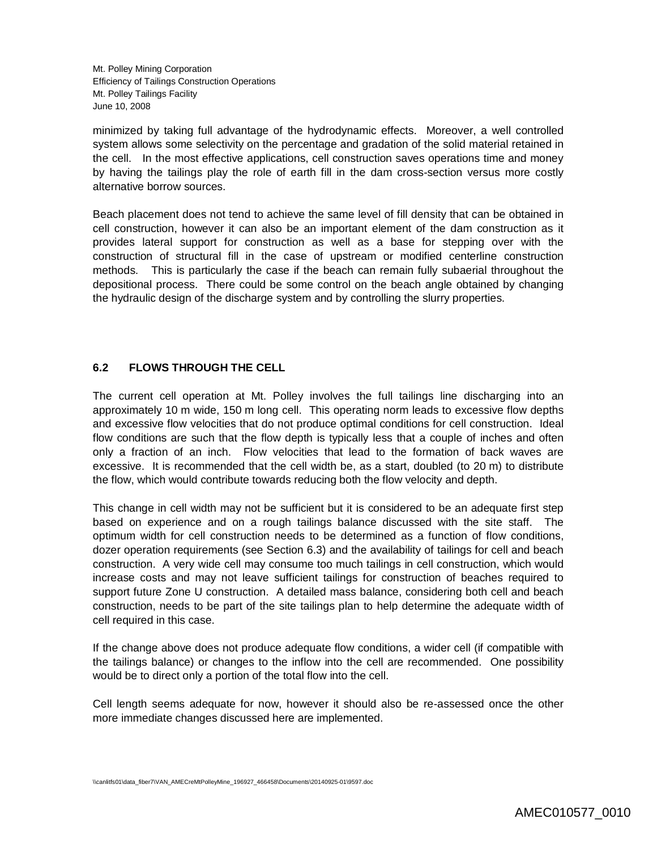minimized by taking full advantage of the hydrodynamic effects. Moreover, a well controlled system allows some selectivity on the percentage and gradation of the solid material retained in the cell. In the most effective applications, cell construction saves operations time and money by having the tailings play the role of earth fill in the dam cross-section versus more costly alternative borrow sources.

Beach placement does not tend to achieve the same level of fill density that can be obtained in cell construction, however it can also be an important element of the dam construction as it provides lateral support for construction as well as a base for stepping over with the construction of structural fill in the case of upstream or modified centerline construction methods. This is particularly the case if the beach can remain fully subaerial throughout the depositional process. There could be some control on the beach angle obtained by changing the hydraulic design of the discharge system and by controlling the slurry properties.

# **6.2 FLOWS THROUGH THE CELL**

The current cell operation at Mt. Polley involves the full tailings line discharging into an approximately 10 m wide, 150 m long cell. This operating norm leads to excessive flow depths and excessive flow velocities that do not produce optimal conditions for cell construction. Ideal flow conditions are such that the flow depth is typically less that a couple of inches and often only a fraction of an inch. Flow velocities that lead to the formation of back waves are excessive. It is recommended that the cell width be, as a start, doubled (to 20 m) to distribute the flow, which would contribute towards reducing both the flow velocity and depth.

This change in cell width may not be sufficient but it is considered to be an adequate first step based on experience and on a rough tailings balance discussed with the site staff. The optimum width for cell construction needs to be determined as a function of flow conditions, dozer operation requirements (see Section 6.3) and the availability of tailings for cell and beach construction. A very wide cell may consume too much tailings in cell construction, which would increase costs and may not leave sufficient tailings for construction of beaches required to support future Zone U construction. A detailed mass balance, considering both cell and beach construction, needs to be part of the site tailings plan to help determine the adequate width of cell required in this case.

If the change above does not produce adequate flow conditions, a wider cell (if compatible with the tailings balance) or changes to the inflow into the cell are recommended. One possibility would be to direct only a portion of the total flow into the cell.

Cell length seems adequate for now, however it should also be re-assessed once the other more immediate changes discussed here are implemented.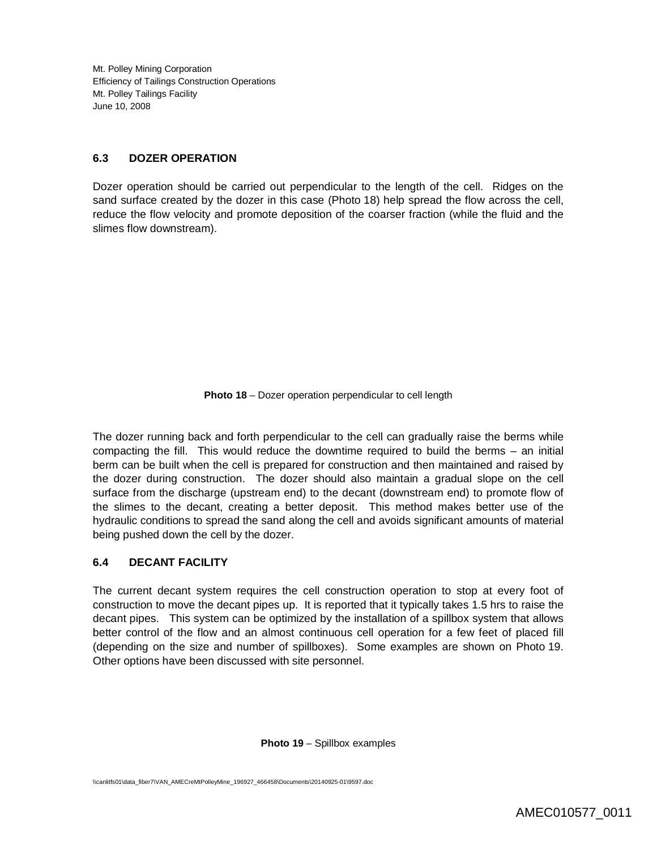## **6.3 DOZER OPERATION**

Dozer operation should be carried out perpendicular to the length of the cell. Ridges on the sand surface created by the dozer in this case (Photo 18) help spread the flow across the cell, reduce the flow velocity and promote deposition of the coarser fraction (while the fluid and the slimes flow downstream).

**Photo 18** – Dozer operation perpendicular to cell length

The dozer running back and forth perpendicular to the cell can gradually raise the berms while compacting the fill. This would reduce the downtime required to build the berms – an initial berm can be built when the cell is prepared for construction and then maintained and raised by the dozer during construction. The dozer should also maintain a gradual slope on the cell surface from the discharge (upstream end) to the decant (downstream end) to promote flow of the slimes to the decant, creating a better deposit. This method makes better use of the hydraulic conditions to spread the sand along the cell and avoids significant amounts of material being pushed down the cell by the dozer.

# **6.4 DECANT FACILITY**

The current decant system requires the cell construction operation to stop at every foot of construction to move the decant pipes up. It is reported that it typically takes 1.5 hrs to raise the decant pipes. This system can be optimized by the installation of a spillbox system that allows better control of the flow and an almost continuous cell operation for a few feet of placed fill (depending on the size and number of spillboxes). Some examples are shown on Photo 19. Other options have been discussed with site personnel.

**Photo 19** – Spillbox examples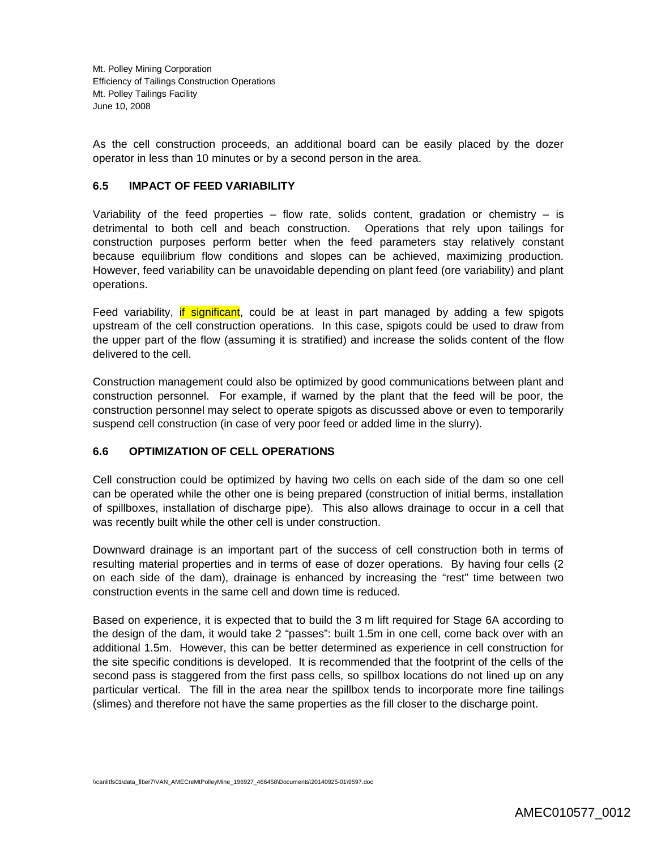As the cell construction proceeds, an additional board can be easily placed by the dozer operator in less than 10 minutes or by a second person in the area.

#### **6.5 IMPACT OF FEED VARIABILITY**

Variability of the feed properties – flow rate, solids content, gradation or chemistry – is detrimental to both cell and beach construction. Operations that rely upon tailings for construction purposes perform better when the feed parameters stay relatively constant because equilibrium flow conditions and slopes can be achieved, maximizing production. However, feed variability can be unavoidable depending on plant feed (ore variability) and plant operations.

Feed variability, if significant, could be at least in part managed by adding a few spigots upstream of the cell construction operations. In this case, spigots could be used to draw from the upper part of the flow (assuming it is stratified) and increase the solids content of the flow delivered to the cell.

Construction management could also be optimized by good communications between plant and construction personnel. For example, if warned by the plant that the feed will be poor, the construction personnel may select to operate spigots as discussed above or even to temporarily suspend cell construction (in case of very poor feed or added lime in the slurry).

## **6.6 OPTIMIZATION OF CELL OPERATIONS**

Cell construction could be optimized by having two cells on each side of the dam so one cell can be operated while the other one is being prepared (construction of initial berms, installation of spillboxes, installation of discharge pipe). This also allows drainage to occur in a cell that was recently built while the other cell is under construction.

Downward drainage is an important part of the success of cell construction both in terms of resulting material properties and in terms of ease of dozer operations. By having four cells (2 on each side of the dam), drainage is enhanced by increasing the "rest" time between two construction events in the same cell and down time is reduced.

Based on experience, it is expected that to build the 3 m lift required for Stage 6A according to the design of the dam, it would take 2 "passes": built 1.5m in one cell, come back over with an additional 1.5m. However, this can be better determined as experience in cell construction for the site specific conditions is developed. It is recommended that the footprint of the cells of the second pass is staggered from the first pass cells, so spillbox locations do not lined up on any particular vertical. The fill in the area near the spillbox tends to incorporate more fine tailings (slimes) and therefore not have the same properties as the fill closer to the discharge point.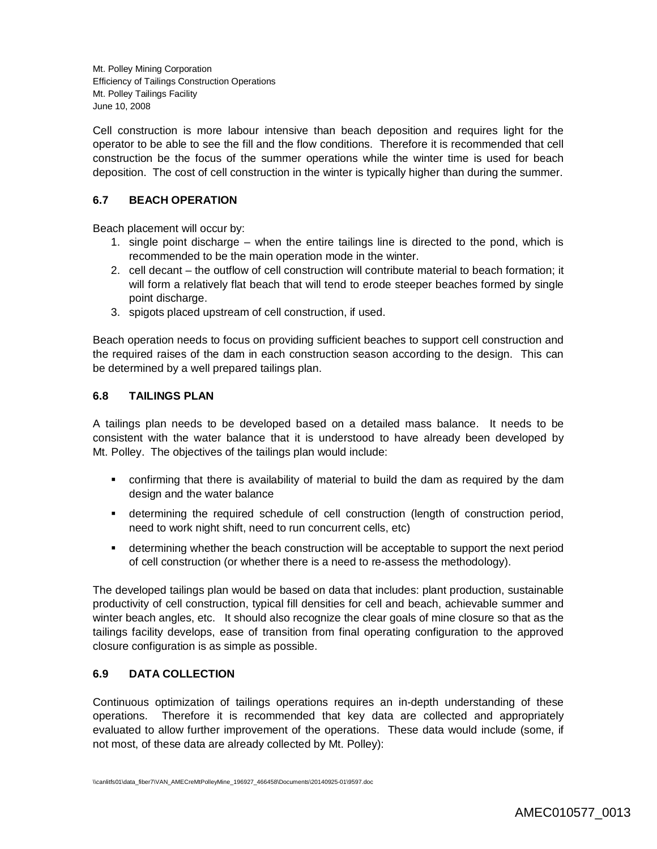Cell construction is more labour intensive than beach deposition and requires light for the operator to be able to see the fill and the flow conditions. Therefore it is recommended that cell construction be the focus of the summer operations while the winter time is used for beach deposition. The cost of cell construction in the winter is typically higher than during the summer.

# **6.7 BEACH OPERATION**

Beach placement will occur by:

- 1. single point discharge when the entire tailings line is directed to the pond, which is recommended to be the main operation mode in the winter.
- 2. cell decant the outflow of cell construction will contribute material to beach formation; it will form a relatively flat beach that will tend to erode steeper beaches formed by single point discharge.
- 3. spigots placed upstream of cell construction, if used.

Beach operation needs to focus on providing sufficient beaches to support cell construction and the required raises of the dam in each construction season according to the design. This can be determined by a well prepared tailings plan.

# **6.8 TAILINGS PLAN**

A tailings plan needs to be developed based on a detailed mass balance. It needs to be consistent with the water balance that it is understood to have already been developed by Mt. Polley. The objectives of the tailings plan would include:

- confirming that there is availability of material to build the dam as required by the dam design and the water balance
- determining the required schedule of cell construction (length of construction period, need to work night shift, need to run concurrent cells, etc)
- determining whether the beach construction will be acceptable to support the next period of cell construction (or whether there is a need to re-assess the methodology).

The developed tailings plan would be based on data that includes: plant production, sustainable productivity of cell construction, typical fill densities for cell and beach, achievable summer and winter beach angles, etc. It should also recognize the clear goals of mine closure so that as the tailings facility develops, ease of transition from final operating configuration to the approved closure configuration is as simple as possible.

## **6.9 DATA COLLECTION**

Continuous optimization of tailings operations requires an in-depth understanding of these operations. Therefore it is recommended that key data are collected and appropriately evaluated to allow further improvement of the operations. These data would include (some, if not most, of these data are already collected by Mt. Polley):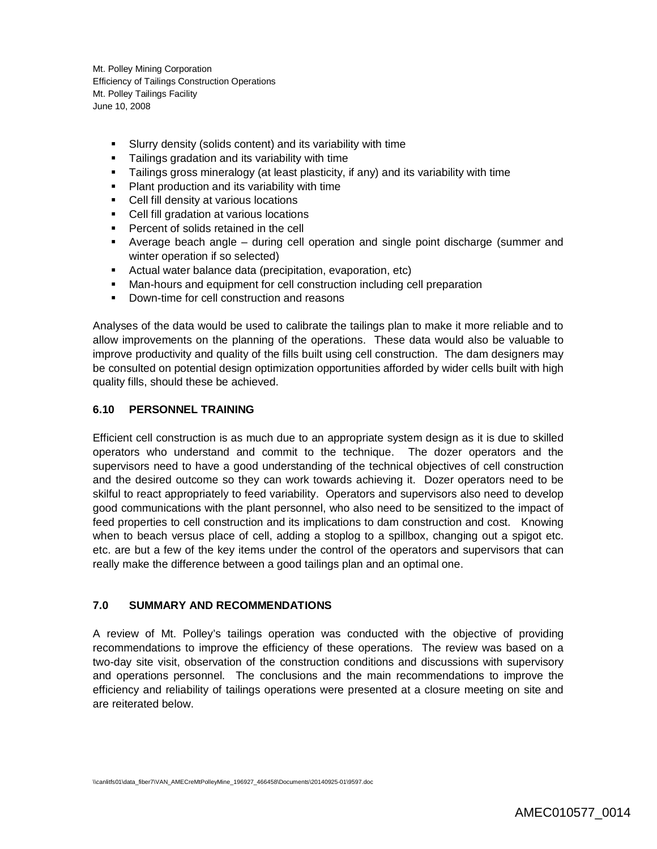- Slurry density (solids content) and its variability with time
- Tailings gradation and its variability with time
- Tailings gross mineralogy (at least plasticity, if any) and its variability with time
- **Plant production and its variability with time**
- Cell fill density at various locations
- Cell fill gradation at various locations
- **Percent of solids retained in the cell**
- Average beach angle during cell operation and single point discharge (summer and winter operation if so selected)
- Actual water balance data (precipitation, evaporation, etc)
- Man-hours and equipment for cell construction including cell preparation
- Down-time for cell construction and reasons

Analyses of the data would be used to calibrate the tailings plan to make it more reliable and to allow improvements on the planning of the operations. These data would also be valuable to improve productivity and quality of the fills built using cell construction. The dam designers may be consulted on potential design optimization opportunities afforded by wider cells built with high quality fills, should these be achieved.

## **6.10 PERSONNEL TRAINING**

Efficient cell construction is as much due to an appropriate system design as it is due to skilled operators who understand and commit to the technique. The dozer operators and the supervisors need to have a good understanding of the technical objectives of cell construction and the desired outcome so they can work towards achieving it. Dozer operators need to be skilful to react appropriately to feed variability. Operators and supervisors also need to develop good communications with the plant personnel, who also need to be sensitized to the impact of feed properties to cell construction and its implications to dam construction and cost. Knowing when to beach versus place of cell, adding a stoplog to a spillbox, changing out a spigot etc. etc. are but a few of the key items under the control of the operators and supervisors that can really make the difference between a good tailings plan and an optimal one.

#### **7.0 SUMMARY AND RECOMMENDATIONS**

A review of Mt. Polley's tailings operation was conducted with the objective of providing recommendations to improve the efficiency of these operations. The review was based on a two-day site visit, observation of the construction conditions and discussions with supervisory and operations personnel. The conclusions and the main recommendations to improve the efficiency and reliability of tailings operations were presented at a closure meeting on site and are reiterated below.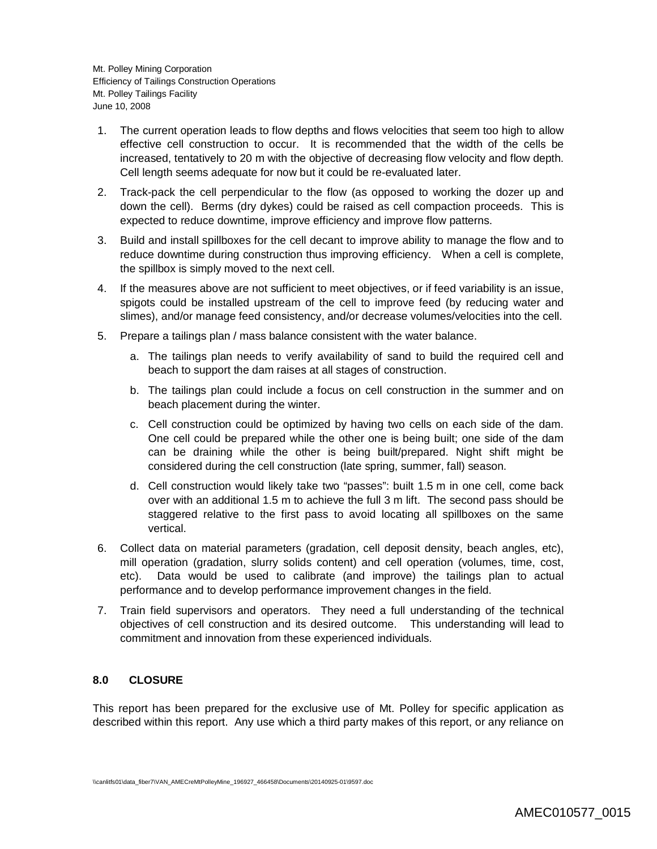- 1. The current operation leads to flow depths and flows velocities that seem too high to allow effective cell construction to occur. It is recommended that the width of the cells be increased, tentatively to 20 m with the objective of decreasing flow velocity and flow depth. Cell length seems adequate for now but it could be re-evaluated later.
- 2. Track-pack the cell perpendicular to the flow (as opposed to working the dozer up and down the cell). Berms (dry dykes) could be raised as cell compaction proceeds. This is expected to reduce downtime, improve efficiency and improve flow patterns.
- 3. Build and install spillboxes for the cell decant to improve ability to manage the flow and to reduce downtime during construction thus improving efficiency. When a cell is complete, the spillbox is simply moved to the next cell.
- 4. If the measures above are not sufficient to meet objectives, or if feed variability is an issue, spigots could be installed upstream of the cell to improve feed (by reducing water and slimes), and/or manage feed consistency, and/or decrease volumes/velocities into the cell.
- 5. Prepare a tailings plan / mass balance consistent with the water balance.
	- a. The tailings plan needs to verify availability of sand to build the required cell and beach to support the dam raises at all stages of construction.
	- b. The tailings plan could include a focus on cell construction in the summer and on beach placement during the winter.
	- c. Cell construction could be optimized by having two cells on each side of the dam. One cell could be prepared while the other one is being built; one side of the dam can be draining while the other is being built/prepared. Night shift might be considered during the cell construction (late spring, summer, fall) season.
	- d. Cell construction would likely take two "passes": built 1.5 m in one cell, come back over with an additional 1.5 m to achieve the full 3 m lift. The second pass should be staggered relative to the first pass to avoid locating all spillboxes on the same vertical.
- 6. Collect data on material parameters (gradation, cell deposit density, beach angles, etc), mill operation (gradation, slurry solids content) and cell operation (volumes, time, cost, etc). Data would be used to calibrate (and improve) the tailings plan to actual performance and to develop performance improvement changes in the field.
- 7. Train field supervisors and operators. They need a full understanding of the technical objectives of cell construction and its desired outcome. This understanding will lead to commitment and innovation from these experienced individuals.

## **8.0 CLOSURE**

This report has been prepared for the exclusive use of Mt. Polley for specific application as described within this report. Any use which a third party makes of this report, or any reliance on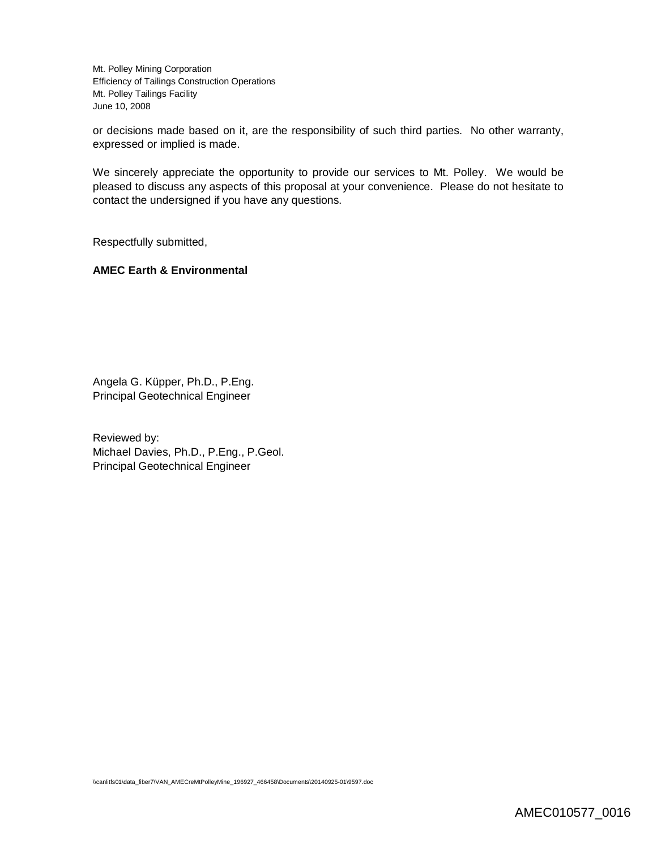or decisions made based on it, are the responsibility of such third parties. No other warranty, expressed or implied is made.

We sincerely appreciate the opportunity to provide our services to Mt. Polley. We would be pleased to discuss any aspects of this proposal at your convenience. Please do not hesitate to contact the undersigned if you have any questions.

Respectfully submitted,

#### **AMEC Earth & Environmental**

Angela G. Küpper, Ph.D., P.Eng. Principal Geotechnical Engineer

Reviewed by: Michael Davies, Ph.D., P.Eng., P.Geol. Principal Geotechnical Engineer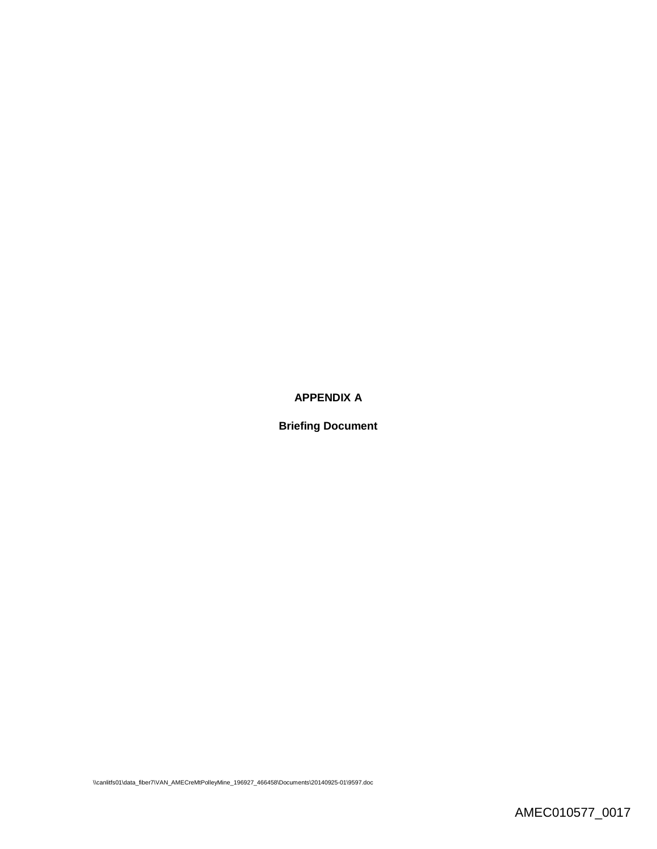# **APPENDIX A**

**Briefing Document**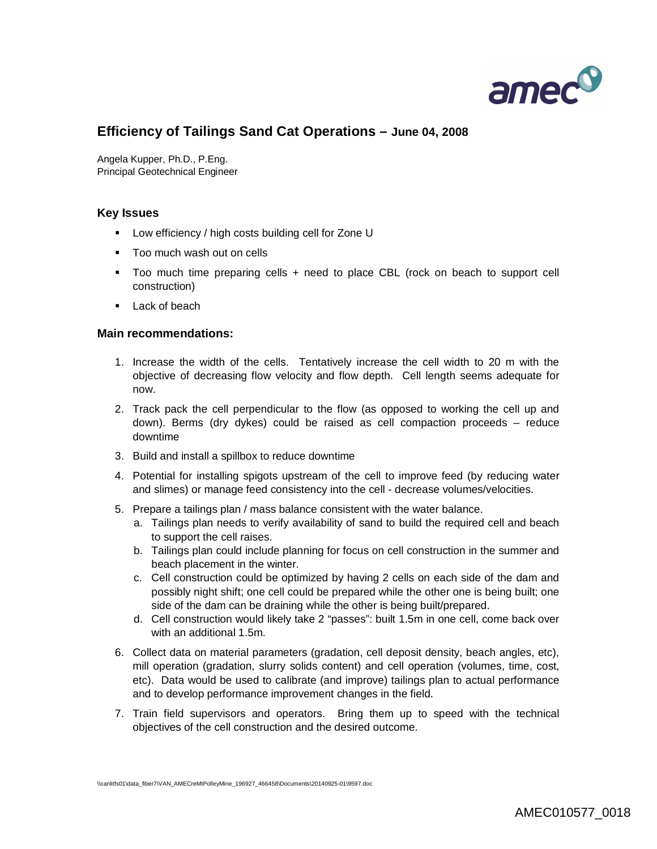

# **Efficiency of Tailings Sand Cat Operations – June 04, 2008**

Angela Kupper, Ph.D., P.Eng. Principal Geotechnical Engineer

#### **Key Issues**

- Low efficiency / high costs building cell for Zone U
- **Too much wash out on cells**
- Too much time preparing cells + need to place CBL (rock on beach to support cell construction)
- **Lack of beach**

#### **Main recommendations:**

- 1. Increase the width of the cells. Tentatively increase the cell width to 20 m with the objective of decreasing flow velocity and flow depth. Cell length seems adequate for now.
- 2. Track pack the cell perpendicular to the flow (as opposed to working the cell up and down). Berms (dry dykes) could be raised as cell compaction proceeds – reduce downtime
- 3. Build and install a spillbox to reduce downtime
- 4. Potential for installing spigots upstream of the cell to improve feed (by reducing water and slimes) or manage feed consistency into the cell - decrease volumes/velocities.
- 5. Prepare a tailings plan / mass balance consistent with the water balance.
	- a. Tailings plan needs to verify availability of sand to build the required cell and beach to support the cell raises.
	- b. Tailings plan could include planning for focus on cell construction in the summer and beach placement in the winter.
	- c. Cell construction could be optimized by having 2 cells on each side of the dam and possibly night shift; one cell could be prepared while the other one is being built; one side of the dam can be draining while the other is being built/prepared.
	- d. Cell construction would likely take 2 "passes": built 1.5m in one cell, come back over with an additional 1.5m.
- 6. Collect data on material parameters (gradation, cell deposit density, beach angles, etc), mill operation (gradation, slurry solids content) and cell operation (volumes, time, cost, etc). Data would be used to calibrate (and improve) tailings plan to actual performance and to develop performance improvement changes in the field.
- 7. Train field supervisors and operators. Bring them up to speed with the technical objectives of the cell construction and the desired outcome.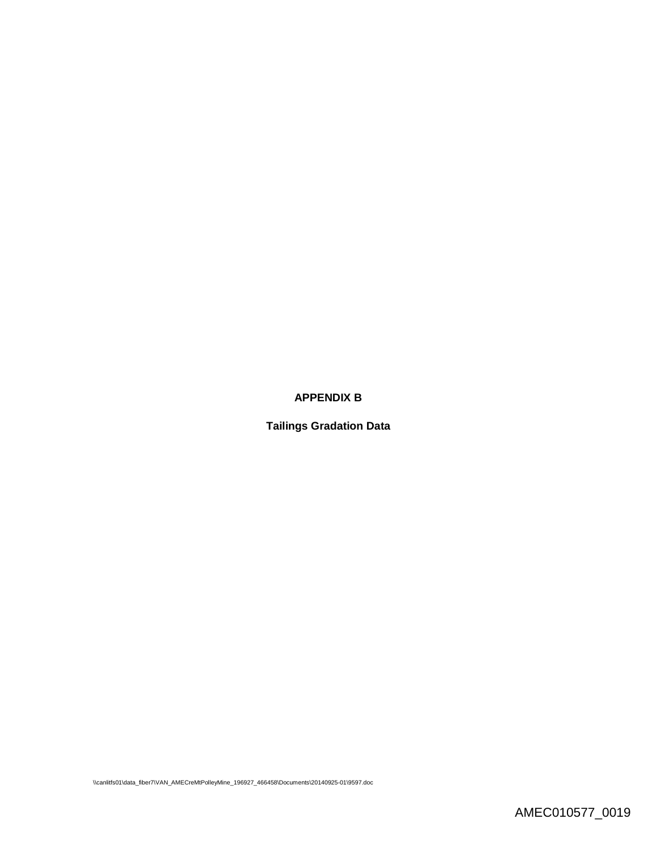# **APPENDIX B**

**Tailings Gradation Data**